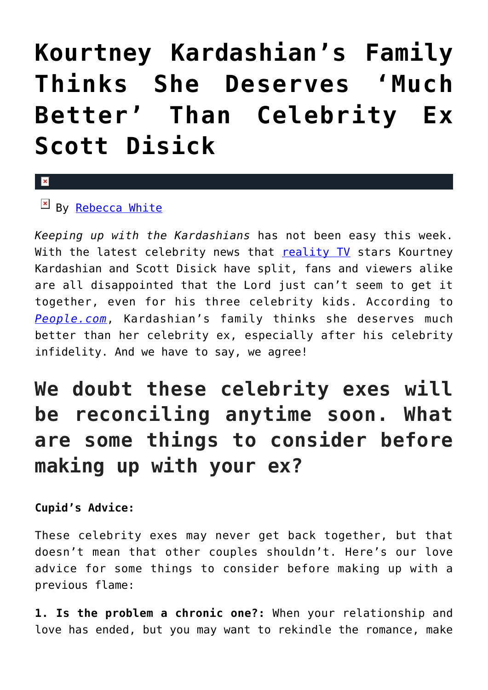## **[Kourtney Kardashian's Family](https://cupidspulse.com/96136/kourtney-kardashians-family-deserves-better-celebrity-ex-scott-disick/) [Thinks She Deserves 'Much](https://cupidspulse.com/96136/kourtney-kardashians-family-deserves-better-celebrity-ex-scott-disick/) [Better' Than Celebrity Ex](https://cupidspulse.com/96136/kourtney-kardashians-family-deserves-better-celebrity-ex-scott-disick/) [Scott Disick](https://cupidspulse.com/96136/kourtney-kardashians-family-deserves-better-celebrity-ex-scott-disick/)**

## $\mathbf{x}$

 $By$  [Rebecca White](http://cupidspulse.com/104603/rebecca-white/)

*Keeping up with the Kardashians* has not been easy this week. With the latest celebrity news that [reality TV](http://cupidspulse.com/reality-tv-couples/) stars Kourtney Kardashian and Scott Disick have split, fans and viewers alike are all disappointed that the Lord just can't seem to get it together, even for his three celebrity kids. According to *[People.com](http://www.people.com/article/kourtney-kardashian-deserves-better-than-scott-disick-says-family)*, Kardashian's family thinks she deserves much better than her celebrity ex, especially after his celebrity infidelity. And we have to say, we agree!

## **We doubt these celebrity exes will be reconciling anytime soon. What are some things to consider before making up with your ex?**

**Cupid's Advice:**

These celebrity exes may never get back together, but that doesn't mean that other couples shouldn't. Here's our love advice for some things to consider before making up with a previous flame:

**1. Is the problem a chronic one?:** When your relationship and love has ended, but you may want to rekindle the romance, make